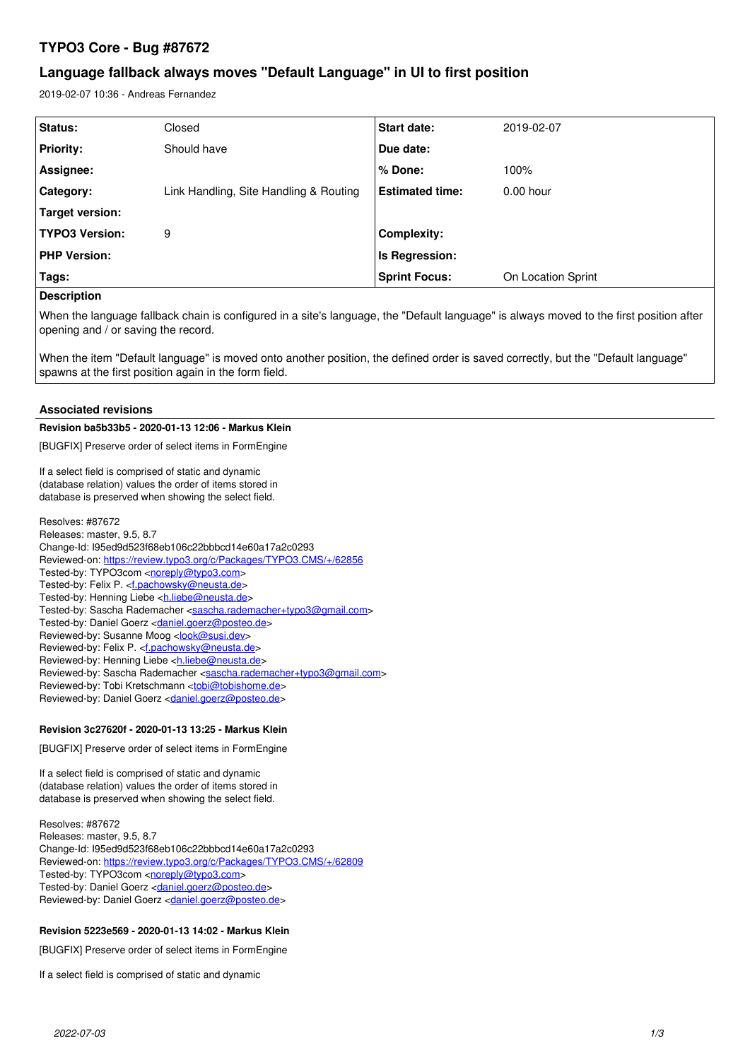# **TYPO3 Core - Bug #87672**

# **Language fallback always moves "Default Language" in UI to first position**

2019-02-07 10:36 - Andreas Fernandez

| Status:               | Closed                                 | <b>Start date:</b>     | 2019-02-07         |
|-----------------------|----------------------------------------|------------------------|--------------------|
| <b>Priority:</b>      | Should have                            | Due date:              |                    |
| Assignee:             |                                        | % Done:                | 100%               |
| Category:             | Link Handling, Site Handling & Routing | <b>Estimated time:</b> | $0.00$ hour        |
| Target version:       |                                        |                        |                    |
| <b>TYPO3 Version:</b> | 9                                      | Complexity:            |                    |
| <b>PHP Version:</b>   |                                        | Is Regression:         |                    |
| Tags:                 |                                        | <b>Sprint Focus:</b>   | On Location Sprint |
|                       |                                        |                        |                    |

## **Description**

When the language fallback chain is configured in a site's language, the "Default language" is always moved to the first position after opening and / or saving the record.

When the item "Default language" is moved onto another position, the defined order is saved correctly, but the "Default language" spawns at the first position again in the form field.

## **Associated revisions**

## **Revision ba5b33b5 - 2020-01-13 12:06 - Markus Klein**

[BUGFIX] Preserve order of select items in FormEngine

If a select field is comprised of static and dynamic (database relation) values the order of items stored in database is preserved when showing the select field.

Resolves: #87672 Releases: master, 9.5, 8.7 Change-Id: I95ed9d523f68eb106c22bbbcd14e60a17a2c0293 Reviewed-on:<https://review.typo3.org/c/Packages/TYPO3.CMS/+/62856> Tested-by: TYPO3com [<noreply@typo3.com>](mailto:noreply@typo3.com) Tested-by: Felix P. <*[f.pachowsky@neusta.de](mailto:f.pachowsky@neusta.de)>* Tested-by: Henning Liebe <[h.liebe@neusta.de](mailto:h.liebe@neusta.de)> Tested-by: Sascha Rademacher <[sascha.rademacher+typo3@gmail.com>](mailto:sascha.rademacher+typo3@gmail.com) Tested-by: Daniel Goerz <[daniel.goerz@posteo.de>](mailto:daniel.goerz@posteo.de) Reviewed-by: Susanne Moog <[look@susi.dev>](mailto:look@susi.dev) Reviewed-by: Felix P. [<f.pachowsky@neusta.de>](mailto:f.pachowsky@neusta.de) Reviewed-by: Henning Liebe [<h.liebe@neusta.de](mailto:h.liebe@neusta.de)> Reviewed-by: Sascha Rademacher [<sascha.rademacher+typo3@gmail.com>](mailto:sascha.rademacher+typo3@gmail.com) Reviewed-by: Tobi Kretschmann <[tobi@tobishome.de>](mailto:tobi@tobishome.de) Reviewed-by: Daniel Goerz [<daniel.goerz@posteo.de](mailto:daniel.goerz@posteo.de)>

### **Revision 3c27620f - 2020-01-13 13:25 - Markus Klein**

[BUGFIX] Preserve order of select items in FormEngine

If a select field is comprised of static and dynamic (database relation) values the order of items stored in database is preserved when showing the select field.

Resolves: #87672 Releases: master, 9.5, 8.7 Change-Id: I95ed9d523f68eb106c22bbbcd14e60a17a2c0293 Reviewed-on:<https://review.typo3.org/c/Packages/TYPO3.CMS/+/62809> Tested-by: TYPO3com [<noreply@typo3.com>](mailto:noreply@typo3.com) Tested-by: Daniel Goerz <[daniel.goerz@posteo.de>](mailto:daniel.goerz@posteo.de) Reviewed-by: Daniel Goerz [<daniel.goerz@posteo.de](mailto:daniel.goerz@posteo.de)>

### **Revision 5223e569 - 2020-01-13 14:02 - Markus Klein**

[BUGFIX] Preserve order of select items in FormEngine

If a select field is comprised of static and dynamic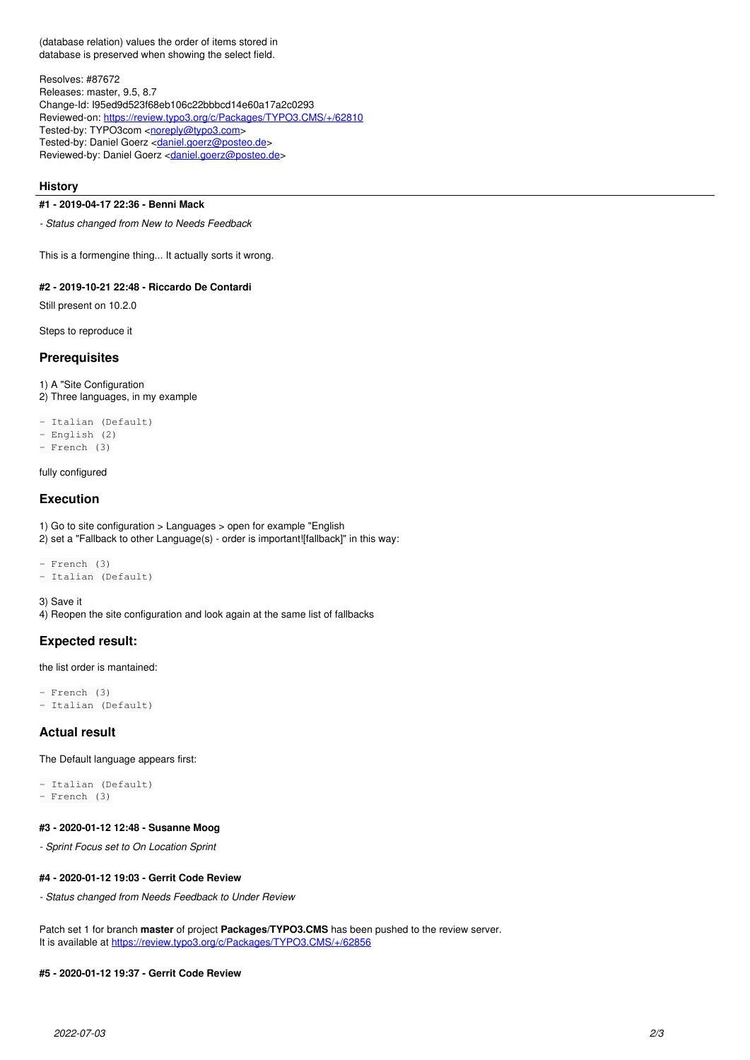(database relation) values the order of items stored in database is preserved when showing the select field.

Resolves: #87672 Releases: master, 9.5, 8.7 Change-Id: I95ed9d523f68eb106c22bbbcd14e60a17a2c0293 Reviewed-on:<https://review.typo3.org/c/Packages/TYPO3.CMS/+/62810> Tested-by: TYPO3com [<noreply@typo3.com>](mailto:noreply@typo3.com) Tested-by: Daniel Goerz <[daniel.goerz@posteo.de>](mailto:daniel.goerz@posteo.de) Reviewed-by: Daniel Goerz [<daniel.goerz@posteo.de](mailto:daniel.goerz@posteo.de)>

#### **History**

## **#1 - 2019-04-17 22:36 - Benni Mack**

*- Status changed from New to Needs Feedback*

This is a formengine thing... It actually sorts it wrong.

## **#2 - 2019-10-21 22:48 - Riccardo De Contardi**

Still present on 10.2.0

Steps to reproduce it

### **Prerequisites**

1) A "Site Configuration 2) Three languages, in my example

- Italian (Default) - English (2) - French (3)

#### fully configured

#### **Execution**

1) Go to site configuration > Languages > open for example "English 2) set a "Fallback to other Language(s) - order is important![fallback]" in this way:

```
- French (3)
- Italian (Default)
```
3) Save it

4) Reopen the site configuration and look again at the same list of fallbacks

## **Expected result:**

the list order is mantained:

```
- French (3)
- Italian (Default)
```
## **Actual result**

The Default language appears first:

```
- Italian (Default)
- French (3)
```
#### **#3 - 2020-01-12 12:48 - Susanne Moog**

*- Sprint Focus set to On Location Sprint*

#### **#4 - 2020-01-12 19:03 - Gerrit Code Review**

*- Status changed from Needs Feedback to Under Review*

Patch set 1 for branch **master** of project **Packages/TYPO3.CMS** has been pushed to the review server. It is available at <https://review.typo3.org/c/Packages/TYPO3.CMS/+/62856>

## **#5 - 2020-01-12 19:37 - Gerrit Code Review**